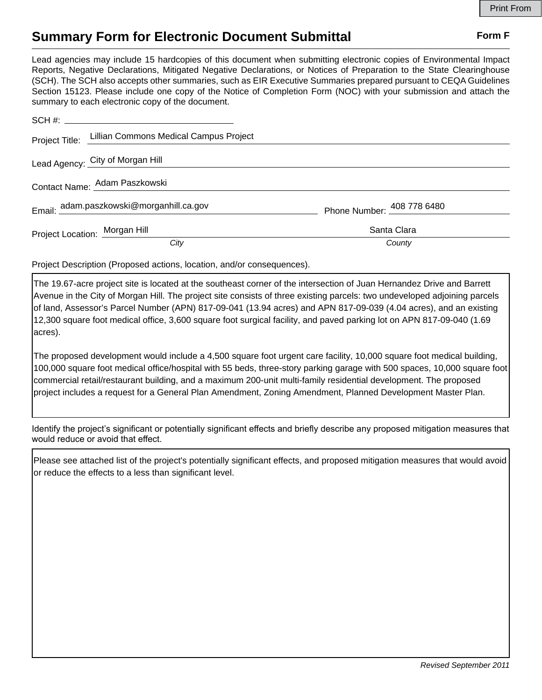## **Summary Form for Electronic Document Submittal Form F Form F**

Lead agencies may include 15 hardcopies of this document when submitting electronic copies of Environmental Impact Reports, Negative Declarations, Mitigated Negative Declarations, or Notices of Preparation to the State Clearinghouse (SCH). The SCH also accepts other summaries, such as EIR Executive Summaries prepared pursuant to CEQA Guidelines Section 15123. Please include one copy of the Notice of Completion Form (NOC) with your submission and attach the summary to each electronic copy of the document.

|                               | Project Title: Lillian Commons Medical Campus Project |                            |
|-------------------------------|-------------------------------------------------------|----------------------------|
|                               | Lead Agency: City of Morgan Hill                      |                            |
| Contact Name: Adam Paszkowski |                                                       |                            |
|                               | Email: adam.paszkowski@morganhill.ca.gov              | Phone Number: 408 778 6480 |
| Project Location: Morgan Hill |                                                       | Santa Clara                |
|                               | City                                                  | County                     |

Project Description (Proposed actions, location, and/or consequences).

The 19.67-acre project site is located at the southeast corner of the intersection of Juan Hernandez Drive and Barrett Avenue in the City of Morgan Hill. The project site consists of three existing parcels: two undeveloped adjoining parcels of land, Assessor's Parcel Number (APN) 817-09-041 (13.94 acres) and APN 817-09-039 (4.04 acres), and an existing 12,300 square foot medical office, 3,600 square foot surgical facility, and paved parking lot on APN 817-09-040 (1.69 acres).

The proposed development would include a 4,500 square foot urgent care facility, 10,000 square foot medical building, 100,000 square foot medical office/hospital with 55 beds, three-story parking garage with 500 spaces, 10,000 square foot commercial retail/restaurant building, and a maximum 200-unit multi-family residential development. The proposed project includes a request for a General Plan Amendment, Zoning Amendment, Planned Development Master Plan.

Identify the project's significant or potentially significant effects and briefly describe any proposed mitigation measures that would reduce or avoid that effect.

Please see attached list of the project's potentially significant effects, and proposed mitigation measures that would avoid or reduce the effects to a less than significant level.